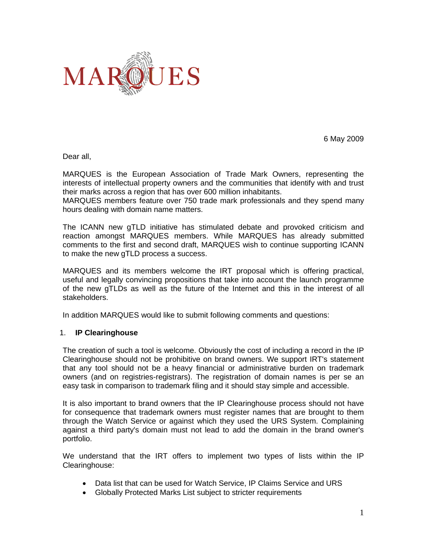

6 May 2009

Dear all,

MARQUES is the European Association of Trade Mark Owners, representing the interests of intellectual property owners and the communities that identify with and trust their marks across a region that has over 600 million inhabitants.

MARQUES members feature over 750 trade mark professionals and they spend many hours dealing with domain name matters.

The ICANN new gTLD initiative has stimulated debate and provoked criticism and reaction amongst MARQUES members. While MARQUES has already submitted comments to the first and second draft, MARQUES wish to continue supporting ICANN to make the new gTLD process a success.

MARQUES and its members welcome the IRT proposal which is offering practical, useful and legally convincing propositions that take into account the launch programme of the new gTLDs as well as the future of the Internet and this in the interest of all stakeholders.

In addition MARQUES would like to submit following comments and questions:

## 1. **IP Clearinghouse**

The creation of such a tool is welcome. Obviously the cost of including a record in the IP Clearinghouse should not be prohibitive on brand owners. We support IRT's statement that any tool should not be a heavy financial or administrative burden on trademark owners (and on registries-registrars). The registration of domain names is per se an easy task in comparison to trademark filing and it should stay simple and accessible.

It is also important to brand owners that the IP Clearinghouse process should not have for consequence that trademark owners must register names that are brought to them through the Watch Service or against which they used the URS System. Complaining against a third party's domain must not lead to add the domain in the brand owner's portfolio.

We understand that the IRT offers to implement two types of lists within the IP Clearinghouse:

- Data list that can be used for Watch Service, IP Claims Service and URS
- Globally Protected Marks List subject to stricter requirements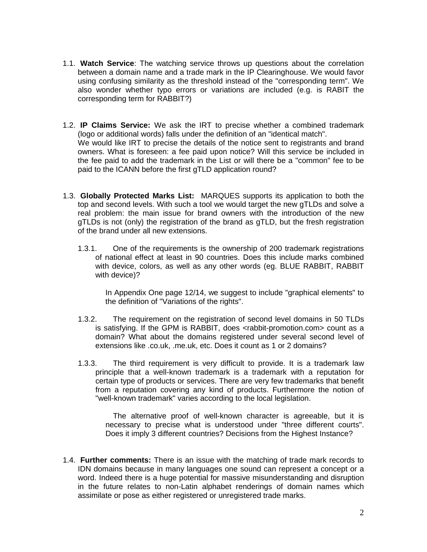- 1.1. **Watch Service**: The watching service throws up questions about the correlation between a domain name and a trade mark in the IP Clearinghouse. We would favor using confusing similarity as the threshold instead of the "corresponding term". We also wonder whether typo errors or variations are included (e.g. is RABIT the corresponding term for RABBIT?)
- 1.2. **IP Claims Service:** We ask the IRT to precise whether a combined trademark (logo or additional words) falls under the definition of an "identical match". We would like IRT to precise the details of the notice sent to registrants and brand owners. What is foreseen: a fee paid upon notice? Will this service be included in the fee paid to add the trademark in the List or will there be a "common" fee to be paid to the ICANN before the first gTLD application round?
- 1.3. **Globally Protected Marks List:** MARQUES supports its application to both the top and second levels. With such a tool we would target the new gTLDs and solve a real problem: the main issue for brand owners with the introduction of the new gTLDs is not (only) the registration of the brand as gTLD, but the fresh registration of the brand under all new extensions.
	- 1.3.1. One of the requirements is the ownership of 200 trademark registrations of national effect at least in 90 countries. Does this include marks combined with device, colors, as well as any other words (eg. BLUE RABBIT, RABBIT with device)?

In Appendix One page 12/14, we suggest to include "graphical elements" to the definition of "Variations of the rights".

- 1.3.2. The requirement on the registration of second level domains in 50 TLDs is satisfying. If the GPM is RABBIT, does <rabbit-promotion.com> count as a domain? What about the domains registered under several second level of extensions like .co.uk, .me.uk, etc. Does it count as 1 or 2 domains?
- 1.3.3. The third requirement is very difficult to provide. It is a trademark law principle that a well-known trademark is a trademark with a reputation for certain type of products or services. There are very few trademarks that benefit from a reputation covering any kind of products. Furthermore the notion of "well-known trademark" varies according to the local legislation.

The alternative proof of well-known character is agreeable, but it is necessary to precise what is understood under "three different courts". Does it imply 3 different countries? Decisions from the Highest Instance?

1.4. **Further comments:** There is an issue with the matching of trade mark records to IDN domains because in many languages one sound can represent a concept or a word. Indeed there is a huge potential for massive misunderstanding and disruption in the future relates to non-Latin alphabet renderings of domain names which assimilate or pose as either registered or unregistered trade marks.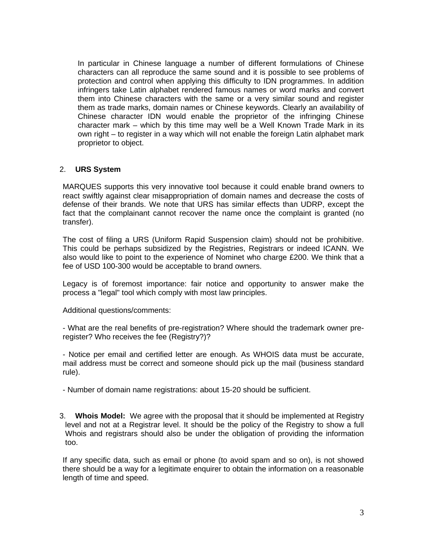In particular in Chinese language a number of different formulations of Chinese characters can all reproduce the same sound and it is possible to see problems of protection and control when applying this difficulty to IDN programmes. In addition infringers take Latin alphabet rendered famous names or word marks and convert them into Chinese characters with the same or a very similar sound and register them as trade marks, domain names or Chinese keywords. Clearly an availability of Chinese character IDN would enable the proprietor of the infringing Chinese character mark – which by this time may well be a Well Known Trade Mark in its own right – to register in a way which will not enable the foreign Latin alphabet mark proprietor to object.

## 2. **URS System**

MARQUES supports this very innovative tool because it could enable brand owners to react swiftly against clear misappropriation of domain names and decrease the costs of defense of their brands. We note that URS has similar effects than UDRP, except the fact that the complainant cannot recover the name once the complaint is granted (no transfer).

The cost of filing a URS (Uniform Rapid Suspension claim) should not be prohibitive. This could be perhaps subsidized by the Registries, Registrars or indeed ICANN. We also would like to point to the experience of Nominet who charge £200. We think that a fee of USD 100-300 would be acceptable to brand owners.

Legacy is of foremost importance: fair notice and opportunity to answer make the process a "legal" tool which comply with most law principles.

Additional questions/comments:

- What are the real benefits of pre-registration? Where should the trademark owner preregister? Who receives the fee (Registry?)?

- Notice per email and certified letter are enough. As WHOIS data must be accurate, mail address must be correct and someone should pick up the mail (business standard rule).

- Number of domain name registrations: about 15-20 should be sufficient.

3. **Whois Model:** We agree with the proposal that it should be implemented at Registry level and not at a Registrar level. It should be the policy of the Registry to show a full Whois and registrars should also be under the obligation of providing the information too.

If any specific data, such as email or phone (to avoid spam and so on), is not showed there should be a way for a legitimate enquirer to obtain the information on a reasonable length of time and speed.